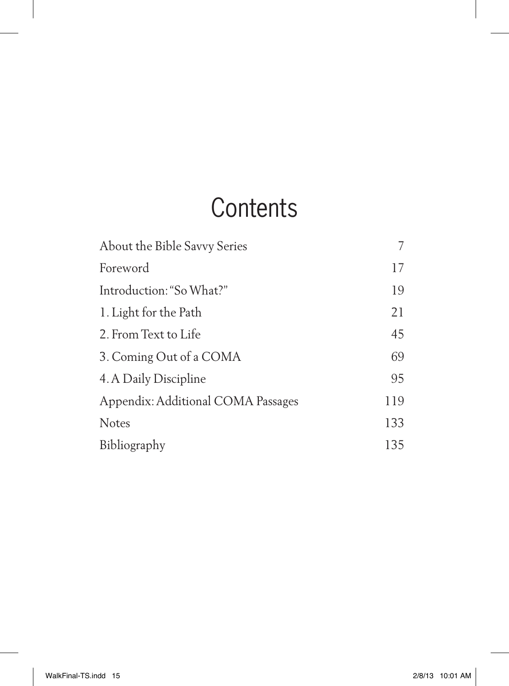## **Contents**

| About the Bible Savvy Series       |     |
|------------------------------------|-----|
| Foreword                           | 17  |
| Introduction: "So What?"           | 19  |
| 1. Light for the Path              | 21  |
| 2. From Text to Life               | 45  |
| 3. Coming Out of a COMA            | 69  |
| 4. A Daily Discipline              | 95  |
| Appendix: Additional COMA Passages | 119 |
| <b>Notes</b>                       | 133 |
| Bibliography                       | 135 |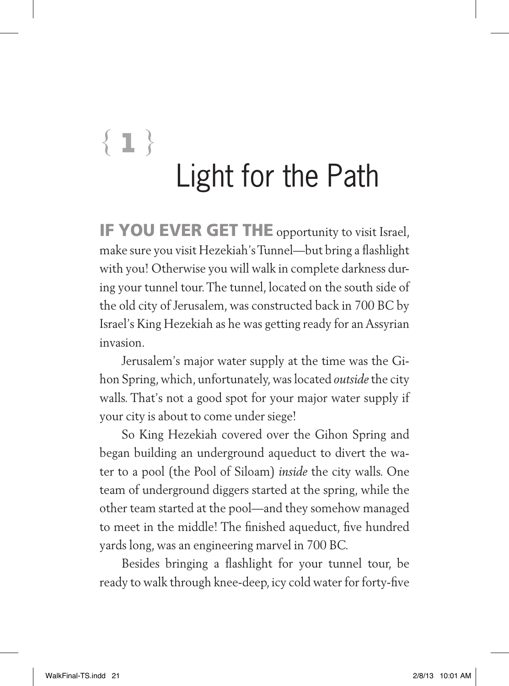# **{1 }** Light for the Path

**IF YOU EVER GET THE** opportunity to visit Israel, make sure you visit Hezekiah's Tunnel—but bring a flashlight with you! Otherwise you will walk in complete darkness during your tunnel tour. The tunnel, located on the south side of the old city of Jerusalem, was constructed back in 700 BC by Israel's King Hezekiah as he was getting ready for an Assyrian invasion.

Jerusalem's major water supply at the time was the Gihon Spring, which, unfortunately, was located *outside* the city walls. That's not a good spot for your major water supply if your city is about to come under siege!

So King Hezekiah covered over the Gihon Spring and began building an underground aqueduct to divert the water to a pool (the Pool of Siloam) *inside* the city walls. One team of underground diggers started at the spring, while the other team started at the pool—and they somehow managed to meet in the middle! The finished aqueduct, five hundred yards long, was an engineering marvel in 700 BC.

Besides bringing a flashlight for your tunnel tour, be ready to walk through knee-deep, icy cold water for forty-five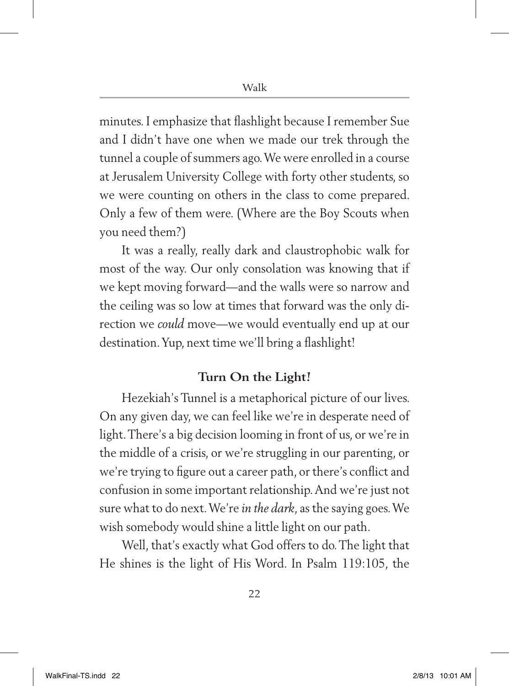minutes. I emphasize that flashlight because I remember Sue and I didn't have one when we made our trek through the tunnel a couple of summers ago. We were enrolled in a course at Jerusalem University College with forty other students, so we were counting on others in the class to come prepared. Only a few of them were. (Where are the Boy Scouts when you need them?)

It was a really, really dark and claustrophobic walk for most of the way. Our only consolation was knowing that if we kept moving forward—and the walls were so narrow and the ceiling was so low at times that forward was the only direction we *could* move—we would eventually end up at our destination. Yup, next time we'll bring a flashlight!

#### **Turn On the Light!**

Hezekiah's Tunnel is a metaphorical picture of our lives. On any given day, we can feel like we're in desperate need of light. There's a big decision looming in front of us, or we're in the middle of a crisis, or we're struggling in our parenting, or we're trying to figure out a career path, or there's conflict and confusion in some important relationship. And we're just not sure what to do next. We're *in the dark*, as the saying goes. We wish somebody would shine a little light on our path.

Well, that's exactly what God offers to do. The light that He shines is the light of His Word. In Psalm 119:105, the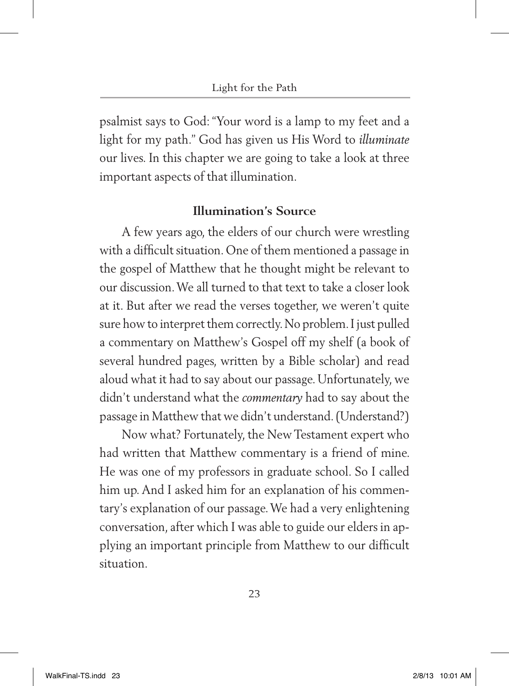psalmist says to God: "Your word is a lamp to my feet and a light for my path." God has given us His Word to *illuminate*  our lives. In this chapter we are going to take a look at three important aspects of that illumination.

#### **Illumination's Source**

A few years ago, the elders of our church were wrestling with a difficult situation. One of them mentioned a passage in the gospel of Matthew that he thought might be relevant to our discussion. We all turned to that text to take a closer look at it. But after we read the verses together, we weren't quite sure how to interpret them correctly. No problem. I just pulled a commentary on Matthew's Gospel off my shelf (a book of several hundred pages, written by a Bible scholar) and read aloud what it had to say about our passage. Unfortunately, we didn't understand what the *commentary* had to say about the passage in Matthew that we didn't understand. (Understand?)

Now what? Fortunately, the New Testament expert who had written that Matthew commentary is a friend of mine. He was one of my professors in graduate school. So I called him up. And I asked him for an explanation of his commentary's explanation of our passage. We had a very enlightening conversation, after which I was able to guide our elders in applying an important principle from Matthew to our difficult situation.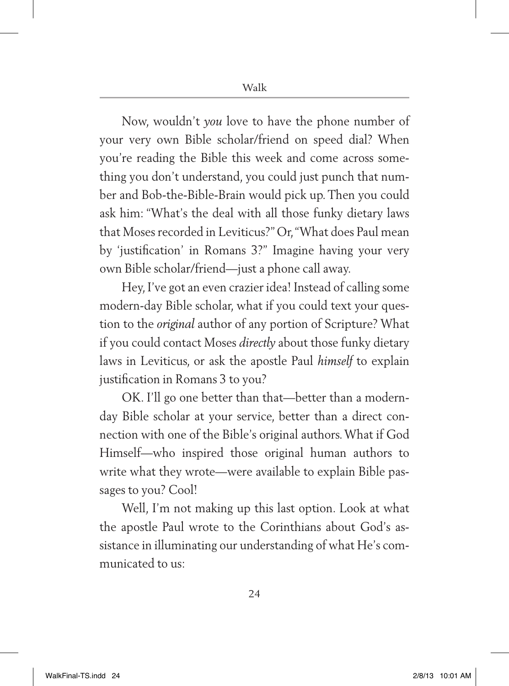Now, wouldn't *you* love to have the phone number of your very own Bible scholar/friend on speed dial? When you're reading the Bible this week and come across something you don't understand, you could just punch that number and Bob-the-Bible-Brain would pick up. Then you could ask him: "What's the deal with all those funky dietary laws that Moses recorded in Leviticus?" Or, "What does Paul mean by 'justification' in Romans 3?" Imagine having your very own Bible scholar/friend—just a phone call away.

Hey, I've got an even crazier idea! Instead of calling some modern-day Bible scholar, what if you could text your question to the *original* author of any portion of Scripture? What if you could contact Moses *directly* about those funky dietary laws in Leviticus, or ask the apostle Paul *himself* to explain justification in Romans 3 to you?

OK. I'll go one better than that—better than a modernday Bible scholar at your service, better than a direct connection with one of the Bible's original authors. What if God Himself—who inspired those original human authors to write what they wrote—were available to explain Bible passages to you? Cool!

Well, I'm not making up this last option. Look at what the apostle Paul wrote to the Corinthians about God's assistance in illuminating our understanding of what He's communicated to us: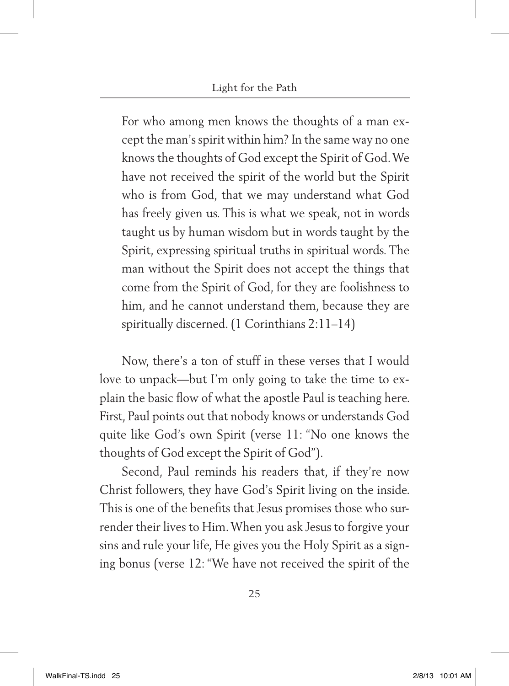For who among men knows the thoughts of a man except the man's spirit within him? In the same way no one knows the thoughts of God except the Spirit of God.We have not received the spirit of the world but the Spirit who is from God, that we may understand what God has freely given us. This is what we speak, not in words taught us by human wisdom but in words taught by the Spirit, expressing spiritual truths in spiritual words. The man without the Spirit does not accept the things that come from the Spirit of God, for they are foolishness to him, and he cannot understand them, because they are spiritually discerned. (1 Corinthians 2:11–14)

Now, there's a ton of stuff in these verses that I would love to unpack—but I'm only going to take the time to explain the basic flow of what the apostle Paul is teaching here. First, Paul points out that nobody knows or understands God quite like God's own Spirit (verse 11: "No one knows the thoughts of God except the Spirit of God").

Second, Paul reminds his readers that, if they're now Christ followers, they have God's Spirit living on the inside. This is one of the benefits that Jesus promises those who surrender their lives to Him. When you ask Jesus to forgive your sins and rule your life, He gives you the Holy Spirit as a signing bonus (verse 12: "We have not received the spirit of the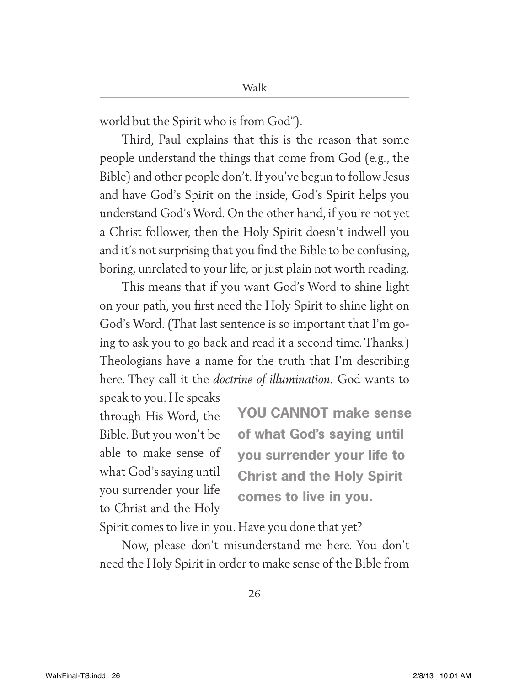world but the Spirit who is from God").

Third, Paul explains that this is the reason that some people understand the things that come from God (e.g., the Bible) and other people don't*.* If you've begun to follow Jesus and have God's Spirit on the inside, God's Spirit helps you understand God's Word. On the other hand, if you're not yet a Christ follower, then the Holy Spirit doesn't indwell you and it's not surprising that you find the Bible to be confusing, boring, unrelated to your life, or just plain not worth reading.

This means that if you want God's Word to shine light on your path, you first need the Holy Spirit to shine light on God's Word. (That last sentence is so important that I'm going to ask you to go back and read it a second time. Thanks.) Theologians have a name for the truth that I'm describing here. They call it the *doctrine of illumination.* God wants to

speak to you. He speaks through His Word, the Bible. But you won't be able to make sense of what God's saying until you surrender your life to Christ and the Holy

**You cannot make sense of what God's saying until you surrender your life to Christ and the Holy Spirit comes to live in you.**

Spirit comes to live in you. Have you done that yet?

Now, please don't misunderstand me here. You don't need the Holy Spirit in order to make sense of the Bible from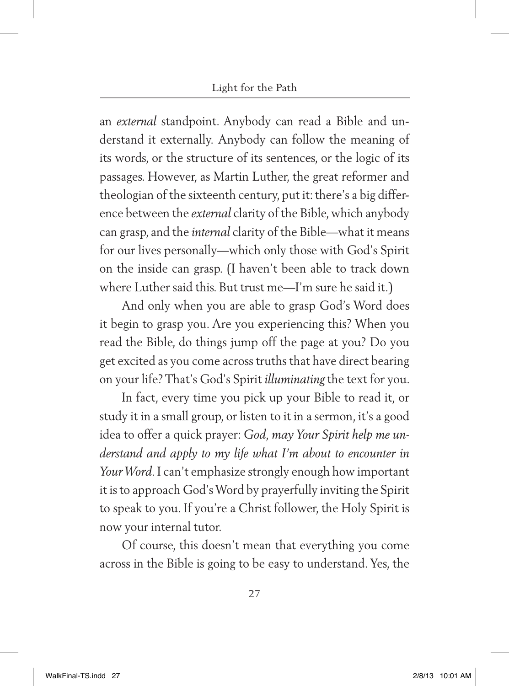an *external* standpoint. Anybody can read a Bible and understand it externally. Anybody can follow the meaning of its words, or the structure of its sentences, or the logic of its passages. However, as Martin Luther, the great reformer and theologian of the sixteenth century, put it: there's a big difference between the *external* clarity of the Bible, which anybody can grasp, and the *internal* clarity of the Bible—what it means for our lives personally—which only those with God's Spirit on the inside can grasp. (I haven't been able to track down where Luther said this. But trust me—I'm sure he said it.)

And only when you are able to grasp God's Word does it begin to grasp you. Are you experiencing this? When you read the Bible, do things jump off the page at you? Do you get excited as you come across truths that have direct bearing on your life? That's God's Spirit *illuminating* the text for you.

In fact, every time you pick up your Bible to read it, or study it in a small group, or listen to it in a sermon, it's a good idea to offer a quick prayer: *God, may Your Spirit help me understand and apply to my life what I'm about to encounter in Your Word.* I can't emphasize strongly enough how important it is to approach God's Word by prayerfully inviting the Spirit to speak to you. If you're a Christ follower, the Holy Spirit is now your internal tutor.

Of course, this doesn't mean that everything you come across in the Bible is going to be easy to understand. Yes, the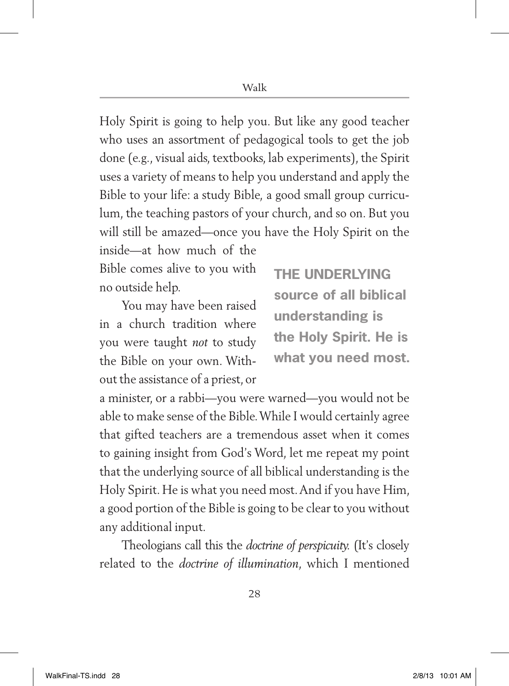Holy Spirit is going to help you. But like any good teacher who uses an assortment of pedagogical tools to get the job done (e.g., visual aids, textbooks, lab experiments), the Spirit uses a variety of means to help you understand and apply the Bible to your life: a study Bible, a good small group curriculum, the teaching pastors of your church, and so on. But you will still be amazed—once you have the Holy Spirit on the inside—at how much of the

Bible comes alive to you with no outside help.

You may have been raised in a church tradition where you were taught *not* to study the Bible on your own. Without the assistance of a priest, or **The underlying source of all biblical understanding is the Holy Spirit. He is what you need most.**

a minister, or a rabbi—you were warned—you would not be able to make sense of the Bible. While I would certainly agree that gifted teachers are a tremendous asset when it comes to gaining insight from God's Word, let me repeat my point that the underlying source of all biblical understanding is the Holy Spirit. He is what you need most. And if you have Him, a good portion of the Bible is going to be clear to you without any additional input.

Theologians call this the *doctrine of perspicuity.* (It's closely related to the *doctrine of illumination*, which I mentioned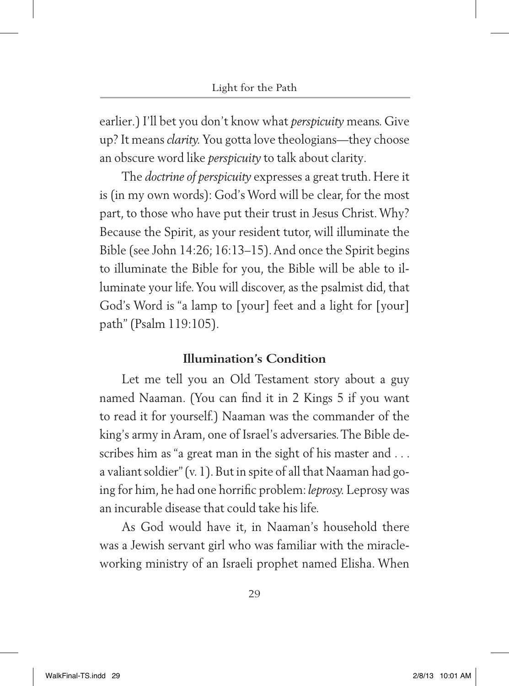earlier*.*) I'll bet you don't know what *perspicuity* means. Give up? It means *clarity.* You gotta love theologians—they choose an obscure word like *perspicuity* to talk about clarity*.*

The *doctrine of perspicuity* expresses a great truth. Here it is (in my own words): God's Word will be clear, for the most part, to those who have put their trust in Jesus Christ. Why? Because the Spirit, as your resident tutor, will illuminate the Bible (see John 14:26; 16:13–15). And once the Spirit begins to illuminate the Bible for you, the Bible will be able to illuminate your life. You will discover, as the psalmist did, that God's Word is "a lamp to [your] feet and a light for [your] path" (Psalm 119:105).

#### **Illumination's Condition**

Let me tell you an Old Testament story about a guy named Naaman. (You can find it in 2 Kings 5 if you want to read it for yourself.) Naaman was the commander of the king's army in Aram, one of Israel's adversaries. The Bible describes him as "a great man in the sight of his master and . . . a valiant soldier" (v. 1). But in spite of all that Naaman had going for him, he had one horrific problem: *leprosy.* Leprosy was an incurable disease that could take his life.

As God would have it, in Naaman's household there was a Jewish servant girl who was familiar with the miracleworking ministry of an Israeli prophet named Elisha. When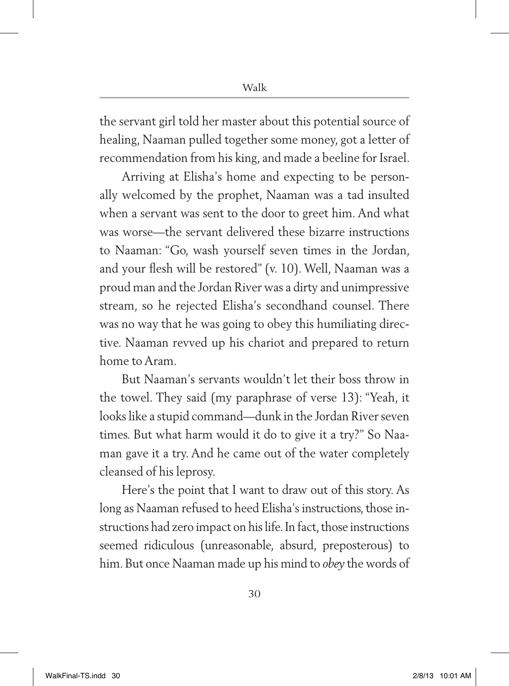the servant girl told her master about this potential source of healing, Naaman pulled together some money, got a letter of recommendation from his king, and made a beeline for Israel.

Arriving at Elisha's home and expecting to be personally welcomed by the prophet, Naaman was a tad insulted when a servant was sent to the door to greet him. And what was worse—the servant delivered these bizarre instructions to Naaman: "Go, wash yourself seven times in the Jordan, and your flesh will be restored" (v. 10). Well, Naaman was a proud man and the Jordan River was a dirty and unimpressive stream, so he rejected Elisha's secondhand counsel. There was no way that he was going to obey this humiliating directive. Naaman revved up his chariot and prepared to return home to Aram.

But Naaman's servants wouldn't let their boss throw in the towel. They said (my paraphrase of verse 13): "Yeah, it looks like a stupid command—dunk in the Jordan River seven times. But what harm would it do to give it a try?" So Naaman gave it a try. And he came out of the water completely cleansed of his leprosy.

Here's the point that I want to draw out of this story. As long as Naaman refused to heed Elisha's instructions, those instructions had zero impact on his life. In fact, those instructions seemed ridiculous (unreasonable, absurd, preposterous) to him. But once Naaman made up his mind to *obey* the words of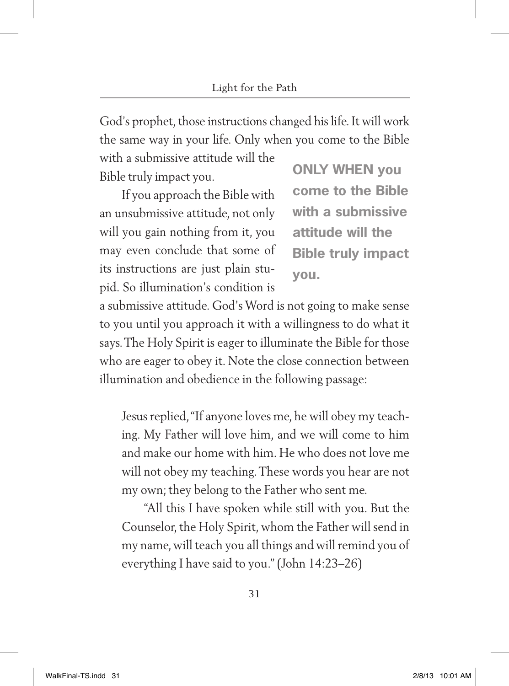God's prophet, those instructions changed his life. It will work the same way in your life. Only when you come to the Bible

with a submissive attitude will the Bible truly impact you.

If you approach the Bible with an unsubmissive attitude, not only will you gain nothing from it, you may even conclude that some of its instructions are just plain stupid. So illumination's condition is

**Only when you come to the Bible with a submissive attitude will the Bible truly impact you.**

a submissive attitude. God's Word is not going to make sense to you until you approach it with a willingness to do what it says. The Holy Spirit is eager to illuminate the Bible for those who are eager to obey it. Note the close connection between illumination and obedience in the following passage:

Jesus replied,"If anyone loves me, he will obey my teaching. My Father will love him, and we will come to him and make our home with him. He who does not love me will not obey my teaching. These words you hear are not my own; they belong to the Father who sent me.

"All this I have spoken while still with you. But the Counselor, the Holy Spirit, whom the Father will send in my name, will teach you all things and will remind you of everything I have said to you." (John 14:23–26)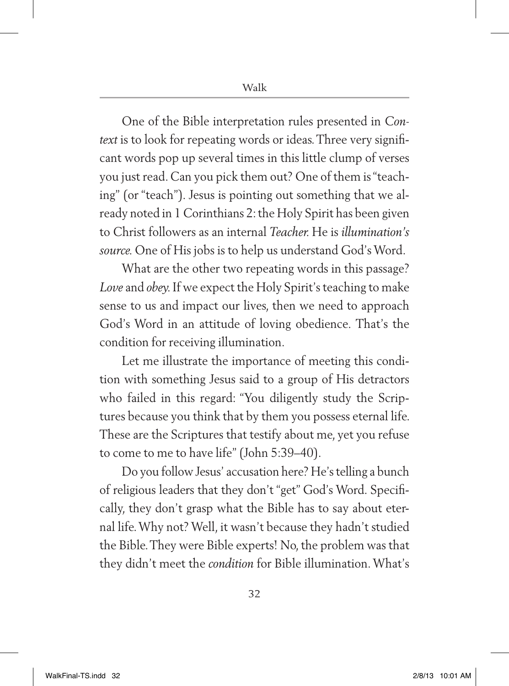One of the Bible interpretation rules presented in *Context* is to look for repeating words or ideas. Three very significant words pop up several times in this little clump of verses you just read. Can you pick them out? One of them is "teaching" (or "teach")*.* Jesus is pointing out something that we already noted in 1 Corinthians 2: the Holy Spirit has been given to Christ followers as an internal *Teacher.* He is *illumination's source.* One of His jobs is to help us understand God's Word.

What are the other two repeating words in this passage? *Love* and *obey.* If we expect the Holy Spirit's teaching to make sense to us and impact our lives, then we need to approach God's Word in an attitude of loving obedience*.* That's the condition for receiving illumination.

Let me illustrate the importance of meeting this condition with something Jesus said to a group of His detractors who failed in this regard: "You diligently study the Scriptures because you think that by them you possess eternal life. These are the Scriptures that testify about me, yet you refuse to come to me to have life" (John 5:39–40).

Do you follow Jesus' accusation here? He's telling a bunch of religious leaders that they don't "get" God's Word. Specifically, they don't grasp what the Bible has to say about eternal life. Why not? Well, it wasn't because they hadn't studied the Bible. They were Bible experts! No, the problem was that they didn't meet the *condition* for Bible illumination. What's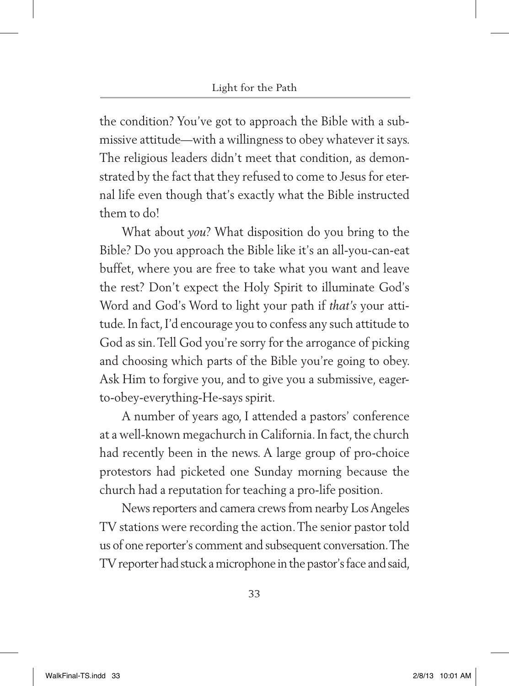the condition? You've got to approach the Bible with a submissive attitude—with a willingness to obey whatever it says. The religious leaders didn't meet that condition, as demonstrated by the fact that they refused to come to Jesus for eternal life even though that's exactly what the Bible instructed them to do!

What about *you*? What disposition do you bring to the Bible? Do you approach the Bible like it's an all-you-can-eat buffet, where you are free to take what you want and leave the rest? Don't expect the Holy Spirit to illuminate God's Word and God's Word to light your path if *that's* your attitude. In fact, I'd encourage you to confess any such attitude to God as sin. Tell God you're sorry for the arrogance of picking and choosing which parts of the Bible you're going to obey. Ask Him to forgive you, and to give you a submissive*,* eagerto-obey-everything-He-says spirit.

A number of years ago, I attended a pastors' conference at a well-known megachurch in California. In fact, the church had recently been in the news. A large group of pro-choice protestors had picketed one Sunday morning because the church had a reputation for teaching a pro-life position.

News reporters and camera crews from nearby Los Angeles TV stations were recording the action. The senior pastor told us of one reporter's comment and subsequent conversation. The TV reporter had stuck a microphone in the pastor's face and said,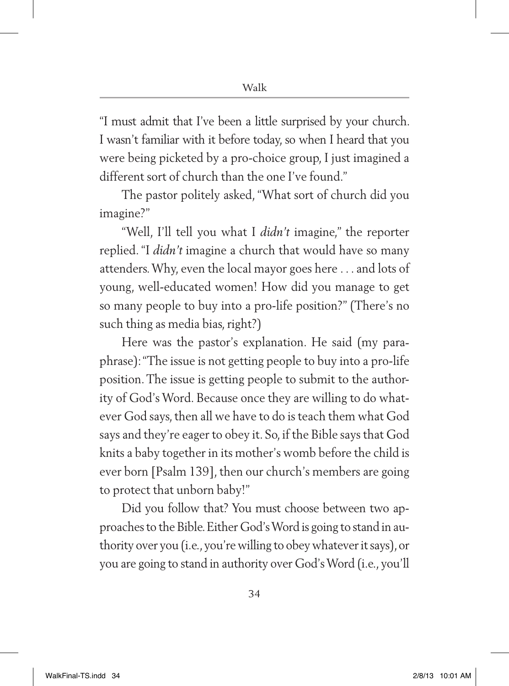"I must admit that I've been a little surprised by your church. I wasn't familiar with it before today, so when I heard that you were being picketed by a pro-choice group, I just imagined a different sort of church than the one I've found."

The pastor politely asked, "What sort of church did you imagine?"

"Well, I'll tell you what I *didn't* imagine," the reporter replied. "I *didn't* imagine a church that would have so many attenders. Why, even the local mayor goes here . . . and lots of young, well-educated women! How did you manage to get so many people to buy into a pro-life position?" (There's no such thing as media bias, right?)

Here was the pastor's explanation. He said (my paraphrase): "The issue is not getting people to buy into a pro-life position. The issue is getting people to submit to the authority of God's Word. Because once they are willing to do whatever God says, then all we have to do is teach them what God says and they're eager to obey it. So, if the Bible says that God knits a baby together in its mother's womb before the child is ever born [Psalm 139], then our church's members are going to protect that unborn baby!"

Did you follow that? You must choose between two approaches to the Bible. Either God's Word is going to stand in authority over you (i.e., you're willing to obey whatever it says), or you are going to stand in authority over God's Word (i.e., you'll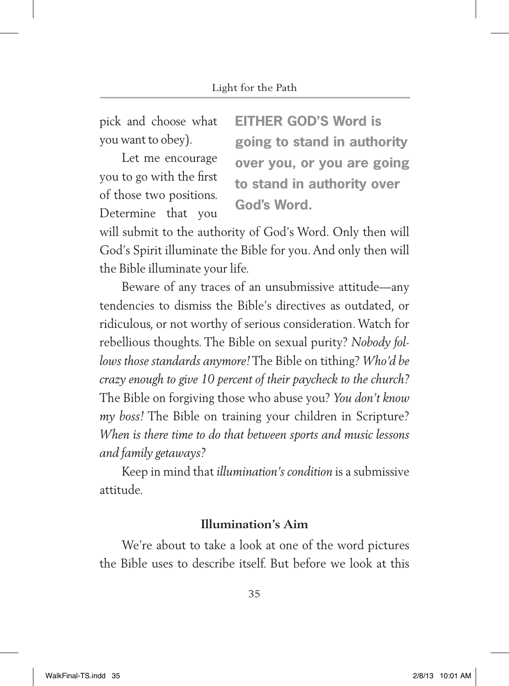pick and choose what you want to obey).

Let me encourage you to go with the first of those two positions. Determine that you

**Either God's Word is going to stand in authority over you, or you are going to stand in authority over God's Word.**

will submit to the authority of God's Word. Only then will God's Spirit illuminate the Bible for you. And only then will the Bible illuminate your life.

Beware of any traces of an unsubmissive attitude—any tendencies to dismiss the Bible's directives as outdated, or ridiculous, or not worthy of serious consideration. Watch for rebellious thoughts. The Bible on sexual purity? *Nobody follows those standards anymore!* The Bible on tithing? *Who'd be crazy enough to give 10 percent of their paycheck to the church?*  The Bible on forgiving those who abuse you? *You don't know my boss!* The Bible on training your children in Scripture? *When is there time to do that between sports and music lessons and family getaways?* 

Keep in mind that *illumination's condition* is a submissive attitude.

#### **Illumination's Aim**

We're about to take a look at one of the word pictures the Bible uses to describe itself. But before we look at this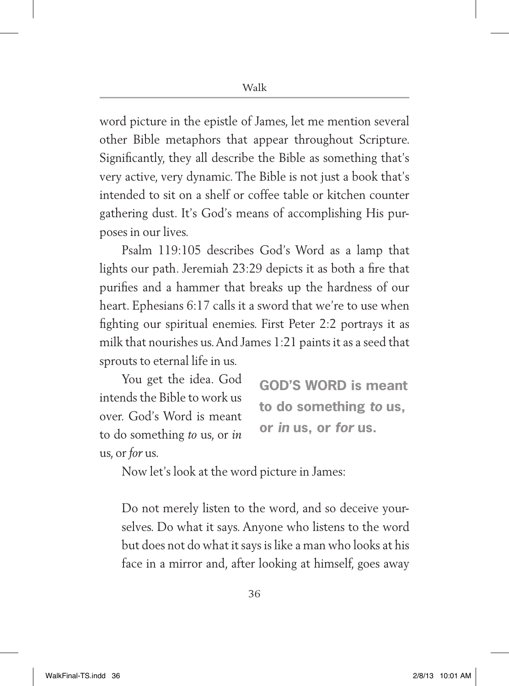word picture in the epistle of James, let me mention several other Bible metaphors that appear throughout Scripture. Significantly, they all describe the Bible as something that's very active, very dynamic. The Bible is not just a book that's intended to sit on a shelf or coffee table or kitchen counter gathering dust. It's God's means of accomplishing His purposes in our lives.

Psalm 119:105 describes God's Word as a lamp that lights our path. Jeremiah 23:29 depicts it as both a fire that purifies and a hammer that breaks up the hardness of our heart. Ephesians 6:17 calls it a sword that we're to use when fighting our spiritual enemies. First Peter 2:2 portrays it as milk that nourishes us. And James 1:21 paints it as a seed that sprouts to eternal life in us.

You get the idea. God intends the Bible to work us over. God's Word is meant to do something *to* us, or *in*  us, or *for* us.

**God's Word is meant to do something** *to* **us, or** *in* **us, or** *for* **us.**

Now let's look at the word picture in James:

Do not merely listen to the word, and so deceive yourselves. Do what it says. Anyone who listens to the word but does not do what it says is like a man who looks at his face in a mirror and, after looking at himself, goes away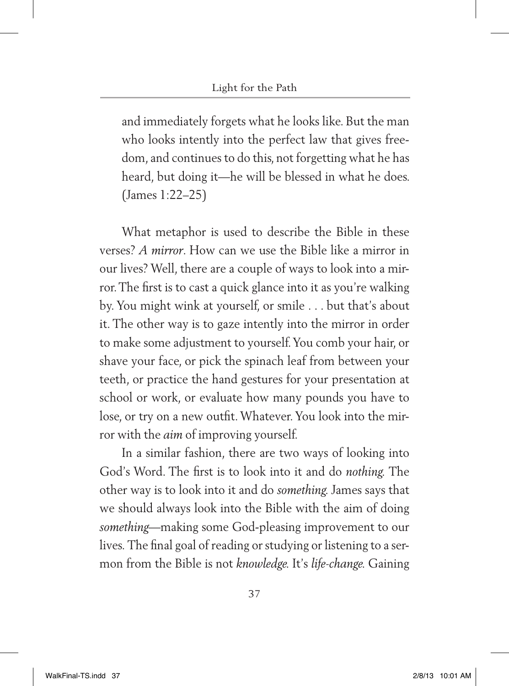and immediately forgets what he looks like. But the man who looks intently into the perfect law that gives freedom, and continues to do this, not forgetting what he has heard, but doing it—he will be blessed in what he does. (James 1:22–25)

What metaphor is used to describe the Bible in these verses? *A mirror*. How can we use the Bible like a mirror in our lives? Well, there are a couple of ways to look into a mirror. The first is to cast a quick glance into it as you're walking by. You might wink at yourself, or smile . . . but that's about it. The other way is to gaze intently into the mirror in order to make some adjustment to yourself. You comb your hair, or shave your face, or pick the spinach leaf from between your teeth, or practice the hand gestures for your presentation at school or work, or evaluate how many pounds you have to lose, or try on a new outfit. Whatever. You look into the mirror with the *aim* of improving yourself.

In a similar fashion, there are two ways of looking into God's Word. The first is to look into it and do *nothing.* The other way is to look into it and do *something.* James says that we should always look into the Bible with the aim of doing *something—*making some God-pleasing improvement to our lives. The final goal of reading or studying or listening to a sermon from the Bible is not *knowledge.* It's *life-change.* Gaining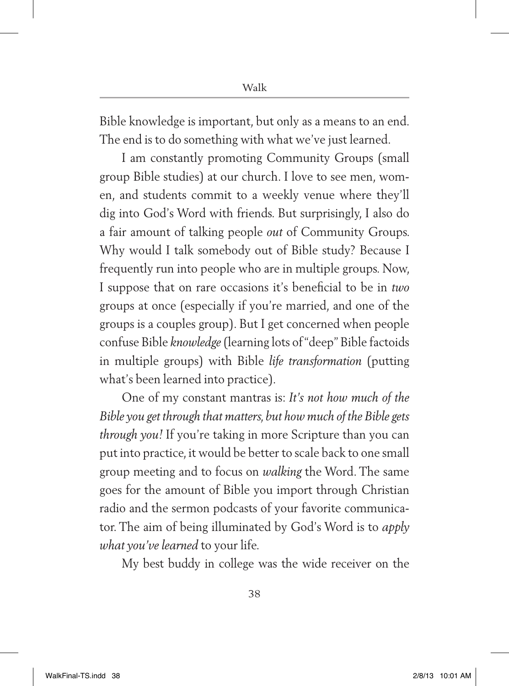Bible knowledge is important, but only as a means to an end*.*  The end is to do something with what we've just learned.

I am constantly promoting Community Groups (small group Bible studies) at our church. I love to see men, women, and students commit to a weekly venue where they'll dig into God's Word with friends. But surprisingly, I also do a fair amount of talking people *out* of Community Groups. Why would I talk somebody out of Bible study? Because I frequently run into people who are in multiple groups. Now, I suppose that on rare occasions it's beneficial to be in *two*  groups at once (especially if you're married, and one of the groups is a couples group). But I get concerned when people confuse Bible *knowledge* (learning lots of "deep" Bible factoids in multiple groups) with Bible *life transformation* (putting what's been learned into practice)*.*

One of my constant mantras is: *It's not how much of the Bible you get through that matters, but how much of the Bible gets through you!* If you're taking in more Scripture than you can put into practice, it would be better to scale back to one small group meeting and to focus on *walking* the Word. The same goes for the amount of Bible you import through Christian radio and the sermon podcasts of your favorite communicator. The aim of being illuminated by God's Word is to *apply what you've learned* to your life.

My best buddy in college was the wide receiver on the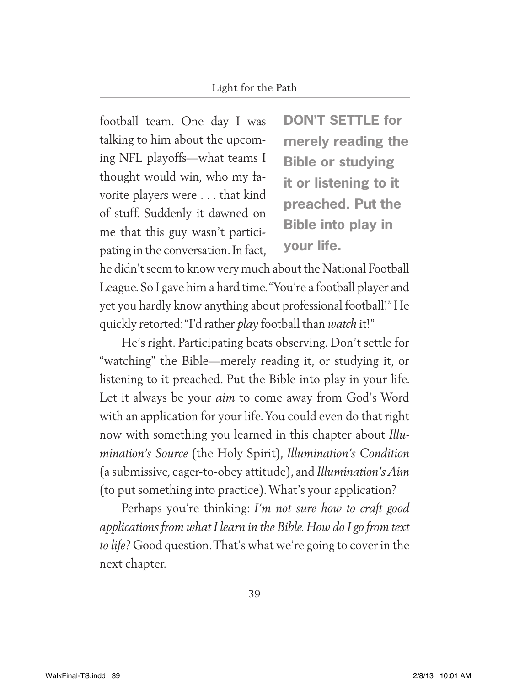football team. One day I was talking to him about the upcoming NFL playoffs—what teams I thought would win, who my favorite players were . . . that kind of stuff. Suddenly it dawned on me that this guy wasn't participating in the conversation. In fact, **DON'T SETTLE for merely reading the Bible or studying it or listening to it preached. Put the Bible into play in your life.**

he didn't seem to know very much about the National Football League. So I gave him a hard time. "You're a football player and yet you hardly know anything about professional football!" He quickly retorted: "I'd rather *play* football than *watch* it!"

He's right. Participating beats observing. Don't settle for "watching" the Bible—merely reading it, or studying it, or listening to it preached. Put the Bible into play in your life. Let it always be your *aim* to come away from God's Word with an application for your life. You could even do that right now with something you learned in this chapter about *Illumination's Source* (the Holy Spirit), *Illumination's Condition*  (a submissive, eager-to-obey attitude), and *Illumination's Aim*  (to put something into practice). What's your application?

Perhaps you're thinking: *I'm not sure how to craft good applications from what I learn in the Bible. How do I go from text to life?* Good question. That's what we're going to cover in the next chapter.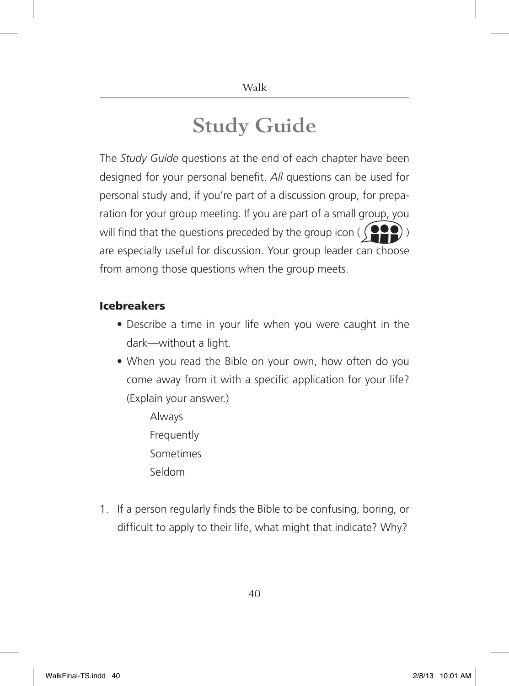### **Study Guide**

The *Study Guide* questions at the end of each chapter have been designed for your personal benefit. *All* questions can be used for personal study and, if you're part of a discussion group, for preparation for your group meeting. If you are part of a small group, you will find that the questions preceded by the group icon ( $\binom{\bullet}{\bullet}$ are especially useful for discussion. Your group leader can choose from among those questions when the group meets.

#### Icebreakers

- Describe a time in your life when you were caught in the dark—without a light.
- When you read the Bible on your own, how often do you come away from it with a specific application for your life? (Explain your answer.)
	- Always **Frequently**  Sometimes Seldom
- 1. If a person regularly finds the Bible to be confusing, boring, or difficult to apply to their life, what might that indicate? Why?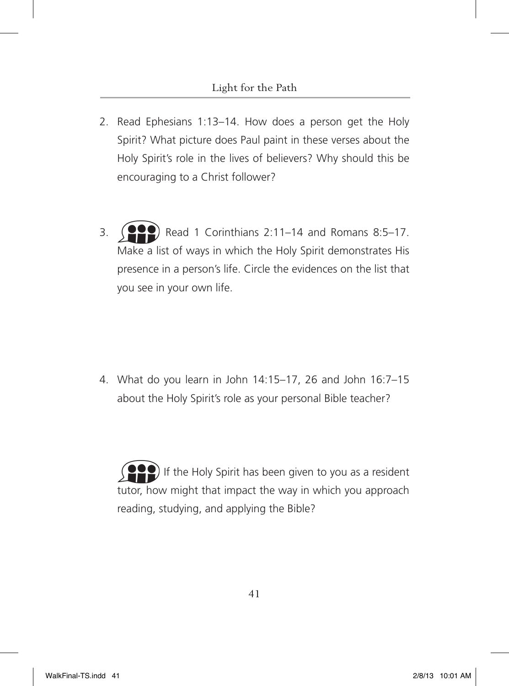- 2. Read Ephesians 1:13–14. How does a person get the Holy Spirit? What picture does Paul paint in these verses about the Holy Spirit's role in the lives of believers? Why should this be encouraging to a Christ follower?
- 3.  $(22)$  Read 1 Corinthians 2:11–14 and Romans 8:5–17. Make a list of ways in which the Holy Spirit demonstrates His presence in a person's life. Circle the evidences on the list that you see in your own life.

4. What do you learn in John 14:15–17, 26 and John 16:7–15 about the Holy Spirit's role as your personal Bible teacher?

If the Holy Spirit has been given to you as a resident tutor, how might that impact the way in which you approach reading, studying, and applying the Bible?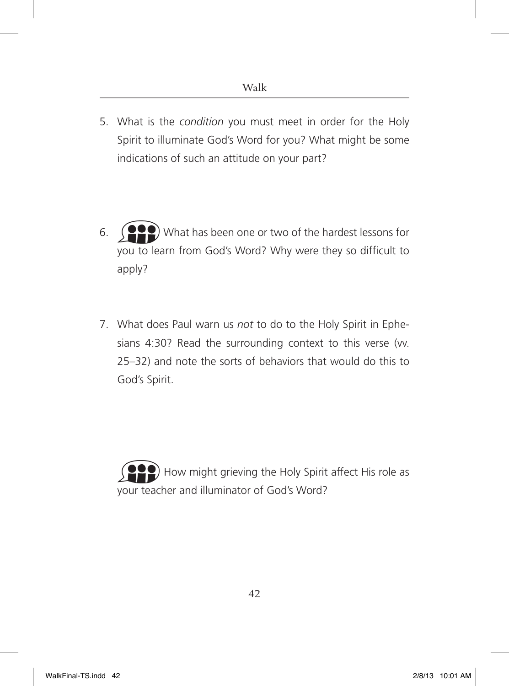- 5. What is the *condition* you must meet in order for the Holy Spirit to illuminate God's Word for you? What might be some indications of such an attitude on your part?
- 6. What has been one or two of the hardest lessons for you to learn from God's Word? Why were they so difficult to apply?
- 7. What does Paul warn us *not* to do to the Holy Spirit in Ephesians 4:30? Read the surrounding context to this verse (vv. 25–32) and note the sorts of behaviors that would do this to God's Spirit.

How might grieving the Holy Spirit affect His role as your teacher and illuminator of God's Word?